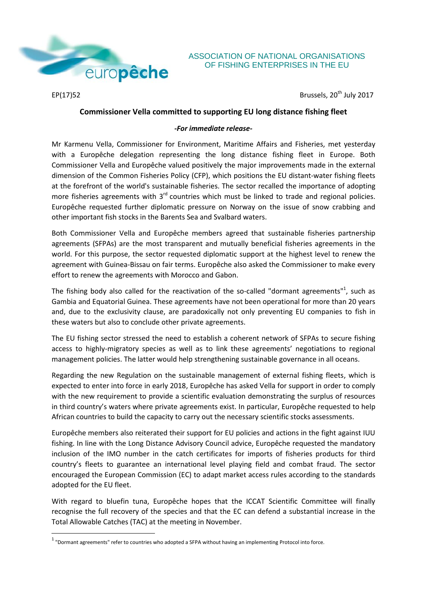

## ASSOCIATION OF NATIONAL ORGANISATIONS OF FISHING ENTERPRISES IN THE EU

1

 $EP(17)$ 52 Brussels, 20<sup>th</sup> July 2017

## **Commissioner Vella committed to supporting EU long distance fishing fleet**

## *-For immediate release-*

Mr Karmenu Vella, Commissioner for Environment, Maritime Affairs and Fisheries, met yesterday with a Europêche delegation representing the long distance fishing fleet in Europe. Both Commissioner Vella and Europêche valued positively the major improvements made in the external dimension of the Common Fisheries Policy (CFP), which positions the EU distant-water fishing fleets at the forefront of the world's sustainable fisheries. The sector recalled the importance of adopting more fisheries agreements with  $3<sup>rd</sup>$  countries which must be linked to trade and regional policies. Europêche requested further diplomatic pressure on Norway on the issue of snow crabbing and other important fish stocks in the Barents Sea and Svalbard waters.

Both Commissioner Vella and Europêche members agreed that sustainable fisheries partnership agreements (SFPAs) are the most transparent and mutually beneficial fisheries agreements in the world. For this purpose, the sector requested diplomatic support at the highest level to renew the agreement with Guinea-Bissau on fair terms. Europêche also asked the Commissioner to make every effort to renew the agreements with Morocco and Gabon.

The fishing body also called for the reactivation of the so-called "dormant agreements"<sup>1</sup>, such as Gambia and Equatorial Guinea. These agreements have not been operational for more than 20 years and, due to the exclusivity clause, are paradoxically not only preventing EU companies to fish in these waters but also to conclude other private agreements.

The EU fishing sector stressed the need to establish a coherent network of SFPAs to secure fishing access to highly-migratory species as well as to link these agreements' negotiations to regional management policies. The latter would help strengthening sustainable governance in all oceans.

Regarding the new Regulation on the sustainable management of external fishing fleets, which is expected to enter into force in early 2018, Europêche has asked Vella for support in order to comply with the new requirement to provide a scientific evaluation demonstrating the surplus of resources in third country's waters where private agreements exist. In particular, Europêche requested to help African countries to build the capacity to carry out the necessary scientific stocks assessments.

Europêche members also reiterated their support for EU policies and actions in the fight against IUU fishing. In line with the Long Distance Advisory Council advice, Europêche requested the mandatory inclusion of the IMO number in the catch certificates for imports of fisheries products for third country's fleets to guarantee an international level playing field and combat fraud. The sector encouraged the European Commission (EC) to adapt market access rules according to the standards adopted for the EU fleet.

With regard to bluefin tuna, Europêche hopes that the ICCAT Scientific Committee will finally recognise the full recovery of the species and that the EC can defend a substantial increase in the Total Allowable Catches (TAC) at the meeting in November.

 $<sup>1</sup>$  "Dormant agreements" refer to countries who adopted a SFPA without having an implementing Protocol into force.</sup>